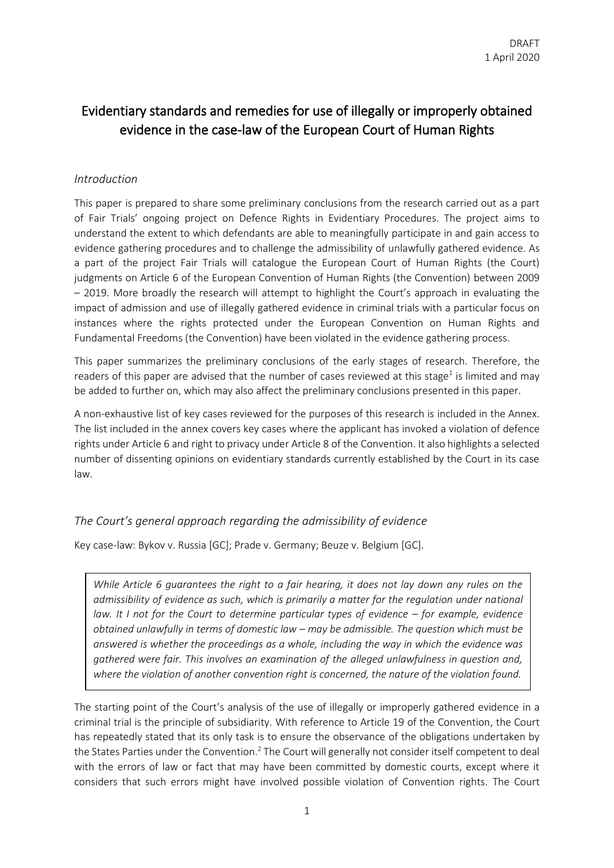# Evidentiary standards and remedies for use of illegally or improperly obtained evidence in the case-law of the European Court of Human Rights

#### *Introduction*

This paper is prepared to share some preliminary conclusions from the research carried out as a part of Fair Trials' ongoing project on Defence Rights in Evidentiary Procedures. The project aims to understand the extent to which defendants are able to meaningfully participate in and gain access to evidence gathering procedures and to challenge the admissibility of unlawfully gathered evidence. As a part of the project Fair Trials will catalogue the European Court of Human Rights (the Court) judgments on Article 6 of the European Convention of Human Rights (the Convention) between 2009 – 2019. More broadly the research will attempt to highlight the Court's approach in evaluating the impact of admission and use of illegally gathered evidence in criminal trials with a particular focus on instances where the rights protected under the European Convention on Human Rights and Fundamental Freedoms (the Convention) have been violated in the evidence gathering process.

This paper summarizes the preliminary conclusions of the early stages of research. Therefore, the readers of this paper are advised that the number of cases reviewed at this stage<sup>1</sup> is limited and may be added to further on, which may also affect the preliminary conclusions presented in this paper.

A non-exhaustive list of key cases reviewed for the purposes of this research is included in the Annex. The list included in the annex covers key cases where the applicant has invoked a violation of defence rights under Article 6 and right to privacy under Article 8 of the Convention. It also highlights a selected number of dissenting opinions on evidentiary standards currently established by the Court in its case law.

### *The Court's general approach regarding the admissibility of evidence*

Key case-law: Bykov v. Russia [GC]; Prade v. Germany; Beuze v. Belgium [GC].

*While Article 6 guarantees the right to a fair hearing, it does not lay down any rules on the admissibility of evidence as such, which is primarily a matter for the regulation under national law.* It I not for the Court to determine particular types of evidence – for example, evidence *obtained unlawfully in terms of domestic law – may be admissible. The question which must be answered is whether the proceedings as a whole, including the way in which the evidence was gathered were fair. This involves an examination of the alleged unlawfulness in question and, where the violation of another convention right is concerned, the nature of the violation found.*

The starting point of the Court's analysis of the use of illegally or improperly gathered evidence in a criminal trial is the principle of subsidiarity. With reference to Article 19 of the Convention, the Court has repeatedly stated that its only task is to ensure the observance of the obligations undertaken by the States Parties under the Convention.<sup>2</sup> The Court will generally not consider itself competent to deal with the errors of law or fact that may have been committed by domestic courts, except where it considers that such errors might have involved possible violation of Convention rights. The Court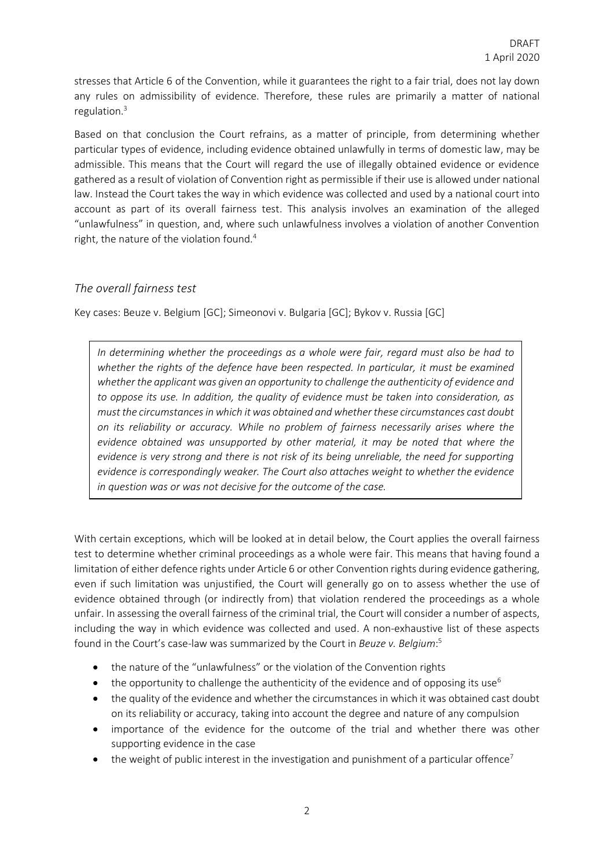stresses that Article 6 of the Convention, while it guarantees the right to a fair trial, does not lay down any rules on admissibility of evidence. Therefore, these rules are primarily a matter of national regulation.<sup>3</sup>

Based on that conclusion the Court refrains, as a matter of principle, from determining whether particular types of evidence, including evidence obtained unlawfully in terms of domestic law, may be admissible. This means that the Court will regard the use of illegally obtained evidence or evidence gathered as a result of violation of Convention right as permissible if their use is allowed under national law. Instead the Court takes the way in which evidence was collected and used by a national court into account as part of its overall fairness test. This analysis involves an examination of the alleged "unlawfulness" in question, and, where such unlawfulness involves a violation of another Convention right, the nature of the violation found.<sup>4</sup>

#### *The overall fairness test*

Key cases: Beuze v. Belgium [GC]; Simeonovi v. Bulgaria [GC]; Bykov v. Russia [GC]

*In determining whether the proceedings as a whole were fair, regard must also be had to whether the rights of the defence have been respected. In particular, it must be examined whether the applicant was given an opportunity to challenge the authenticity of evidence and to oppose its use. In addition, the quality of evidence must be taken into consideration, as must the circumstances in which it was obtained and whether these circumstances cast doubt on its reliability or accuracy. While no problem of fairness necessarily arises where the evidence obtained was unsupported by other material, it may be noted that where the evidence is very strong and there is not risk of its being unreliable, the need for supporting evidence is correspondingly weaker. The Court also attaches weight to whether the evidence in question was or was not decisive for the outcome of the case.*

With certain exceptions, which will be looked at in detail below, the Court applies the overall fairness test to determine whether criminal proceedings as a whole were fair. This means that having found a limitation of either defence rights under Article 6 or other Convention rights during evidence gathering, even if such limitation was unjustified, the Court will generally go on to assess whether the use of evidence obtained through (or indirectly from) that violation rendered the proceedings as a whole unfair. In assessing the overall fairness of the criminal trial, the Court will consider a number of aspects, including the way in which evidence was collected and used. A non-exhaustive list of these aspects found in the Court's case-law was summarized by the Court in *Beuze v. Belgium*: 5

- the nature of the "unlawfulness" or the violation of the Convention rights
- the opportunity to challenge the authenticity of the evidence and of opposing its use<sup>6</sup>
- the quality of the evidence and whether the circumstances in which it was obtained cast doubt on its reliability or accuracy, taking into account the degree and nature of any compulsion
- importance of the evidence for the outcome of the trial and whether there was other supporting evidence in the case
- the weight of public interest in the investigation and punishment of a particular offence<sup>7</sup>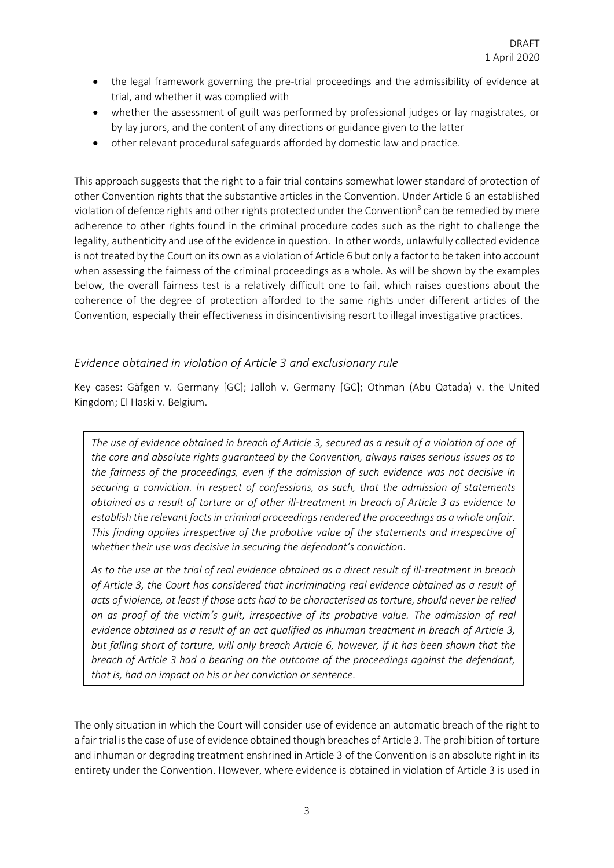- the legal framework governing the pre-trial proceedings and the admissibility of evidence at trial, and whether it was complied with
- whether the assessment of guilt was performed by professional judges or lay magistrates, or by lay jurors, and the content of any directions or guidance given to the latter
- other relevant procedural safeguards afforded by domestic law and practice.

This approach suggests that the right to a fair trial contains somewhat lower standard of protection of other Convention rights that the substantive articles in the Convention. Under Article 6 an established violation of defence rights and other rights protected under the Convention<sup>8</sup> can be remedied by mere adherence to other rights found in the criminal procedure codes such as the right to challenge the legality, authenticity and use of the evidence in question. In other words, unlawfully collected evidence is not treated by the Court on its own as a violation of Article 6 but only a factor to be taken into account when assessing the fairness of the criminal proceedings as a whole. As will be shown by the examples below, the overall fairness test is a relatively difficult one to fail, which raises questions about the coherence of the degree of protection afforded to the same rights under different articles of the Convention, especially their effectiveness in disincentivising resort to illegal investigative practices.

### *Evidence obtained in violation of Article 3 and exclusionary rule*

Key cases: Gäfgen v. Germany [GC]; Jalloh v. Germany [GC]; Othman (Abu Qatada) v. the United Kingdom; El Haski v. Belgium.

The use of evidence obtained in breach of Article 3, secured as a result of a violation of one of *the core and absolute rights guaranteed by the Convention, always raises serious issues as to the fairness of the proceedings, even if the admission of such evidence was not decisive in securing a conviction. In respect of confessions, as such, that the admission of statements obtained as a result of torture or of other ill-treatment in breach of Article 3 as evidence to establish the relevant facts in criminal proceedings rendered the proceedings as a whole unfair. This finding applies irrespective of the probative value of the statements and irrespective of whether their use was decisive in securing the defendant's conviction*.

*As to the use at the trial of real evidence obtained as a direct result of ill-treatment in breach of Article 3, the Court has considered that incriminating real evidence obtained as a result of acts of violence, at least if those acts had to be characterised as torture, should never be relied on as proof of the victim's guilt, irrespective of its probative value. The admission of real evidence obtained as a result of an act qualified as inhuman treatment in breach of Article 3, but falling short of torture, will only breach Article 6, however, if it has been shown that the breach of Article 3 had a bearing on the outcome of the proceedings against the defendant, that is, had an impact on his or her conviction or sentence.*

The only situation in which the Court will consider use of evidence an automatic breach of the right to a fair trial isthe case of use of evidence obtained though breaches of Article 3. The prohibition of torture and inhuman or degrading treatment enshrined in Article 3 of the Convention is an absolute right in its entirety under the Convention. However, where evidence is obtained in violation of Article 3 is used in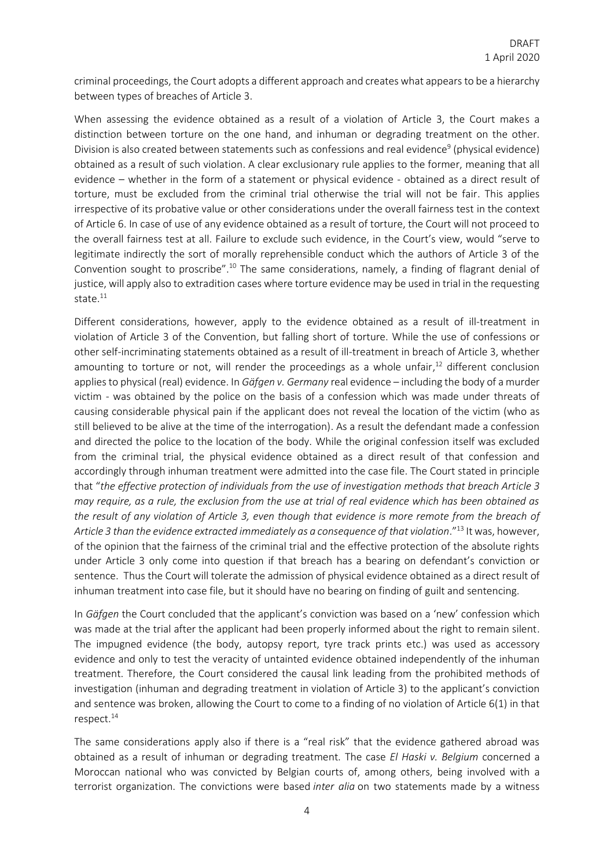criminal proceedings, the Court adopts a different approach and creates what appears to be a hierarchy between types of breaches of Article 3.

When assessing the evidence obtained as a result of a violation of Article 3, the Court makes a distinction between torture on the one hand, and inhuman or degrading treatment on the other. Division is also created between statements such as confessions and real evidence<sup>9</sup> (physical evidence) obtained as a result of such violation. A clear exclusionary rule applies to the former, meaning that all evidence – whether in the form of a statement or physical evidence - obtained as a direct result of torture, must be excluded from the criminal trial otherwise the trial will not be fair. This applies irrespective of its probative value or other considerations under the overall fairness test in the context of Article 6. In case of use of any evidence obtained as a result of torture, the Court will not proceed to the overall fairness test at all. Failure to exclude such evidence, in the Court's view, would "serve to legitimate indirectly the sort of morally reprehensible conduct which the authors of Article 3 of the Convention sought to proscribe".<sup>10</sup> The same considerations, namely, a finding of flagrant denial of justice, will apply also to extradition cases where torture evidence may be used in trial in the requesting state.<sup>11</sup>

Different considerations, however, apply to the evidence obtained as a result of ill-treatment in violation of Article 3 of the Convention, but falling short of torture. While the use of confessions or other self-incriminating statements obtained as a result of ill-treatment in breach of Article 3, whether amounting to torture or not, will render the proceedings as a whole unfair,<sup>12</sup> different conclusion applies to physical (real) evidence. In *Gäfgen v. Germany* real evidence – including the body of a murder victim - was obtained by the police on the basis of a confession which was made under threats of causing considerable physical pain if the applicant does not reveal the location of the victim (who as still believed to be alive at the time of the interrogation). As a result the defendant made a confession and directed the police to the location of the body. While the original confession itself was excluded from the criminal trial, the physical evidence obtained as a direct result of that confession and accordingly through inhuman treatment were admitted into the case file. The Court stated in principle that "*the effective protection of individuals from the use of investigation methods that breach Article 3 may require, as a rule, the exclusion from the use at trial of real evidence which has been obtained as the result of any violation of Article 3, even though that evidence is more remote from the breach of*  Article 3 than the evidence extracted immediately as a consequence of that violation."<sup>13</sup> It was, however, of the opinion that the fairness of the criminal trial and the effective protection of the absolute rights under Article 3 only come into question if that breach has a bearing on defendant's conviction or sentence. Thus the Court will tolerate the admission of physical evidence obtained as a direct result of inhuman treatment into case file, but it should have no bearing on finding of guilt and sentencing.

In *Gäfgen* the Court concluded that the applicant's conviction was based on a 'new' confession which was made at the trial after the applicant had been properly informed about the right to remain silent. The impugned evidence (the body, autopsy report, tyre track prints etc.) was used as accessory evidence and only to test the veracity of untainted evidence obtained independently of the inhuman treatment. Therefore, the Court considered the causal link leading from the prohibited methods of investigation (inhuman and degrading treatment in violation of Article 3) to the applicant's conviction and sentence was broken, allowing the Court to come to a finding of no violation of Article 6(1) in that respect.<sup>14</sup>

The same considerations apply also if there is a "real risk" that the evidence gathered abroad was obtained as a result of inhuman or degrading treatment. The case *El Haski v. Belgium* concerned a Moroccan national who was convicted by Belgian courts of, among others, being involved with a terrorist organization. The convictions were based *inter alia* on two statements made by a witness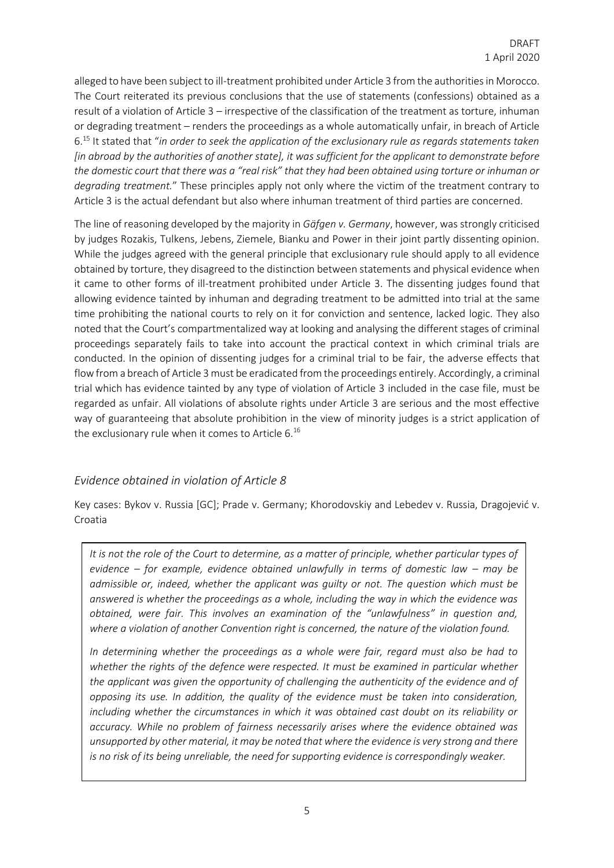alleged to have been subject to ill-treatment prohibited under Article 3 from the authorities in Morocco. The Court reiterated its previous conclusions that the use of statements (confessions) obtained as a result of a violation of Article 3 – irrespective of the classification of the treatment as torture, inhuman or degrading treatment – renders the proceedings as a whole automatically unfair, in breach of Article 6.<sup>15</sup> It stated that "*in order to seek the application of the exclusionary rule as regards statements taken [in abroad by the authorities of another state], it was sufficient for the applicant to demonstrate before the domestic court that there was a "real risk" that they had been obtained using torture or inhuman or degrading treatment.*" These principles apply not only where the victim of the treatment contrary to Article 3 is the actual defendant but also where inhuman treatment of third parties are concerned.

The line of reasoning developed by the majority in *Gäfgen v. Germany*, however, was strongly criticised by judges Rozakis, Tulkens, Jebens, Ziemele, Bianku and Power in their joint partly dissenting opinion. While the judges agreed with the general principle that exclusionary rule should apply to all evidence obtained by torture, they disagreed to the distinction between statements and physical evidence when it came to other forms of ill-treatment prohibited under Article 3. The dissenting judges found that allowing evidence tainted by inhuman and degrading treatment to be admitted into trial at the same time prohibiting the national courts to rely on it for conviction and sentence, lacked logic. They also noted that the Court's compartmentalized way at looking and analysing the different stages of criminal proceedings separately fails to take into account the practical context in which criminal trials are conducted. In the opinion of dissenting judges for a criminal trial to be fair, the adverse effects that flow from a breach of Article 3 must be eradicated from the proceedings entirely. Accordingly, a criminal trial which has evidence tainted by any type of violation of Article 3 included in the case file, must be regarded as unfair. All violations of absolute rights under Article 3 are serious and the most effective way of guaranteeing that absolute prohibition in the view of minority judges is a strict application of the exclusionary rule when it comes to Article 6.<sup>16</sup>

## *Evidence obtained in violation of Article 8*

Key cases: Bykov v. Russia [GC]; Prade v. Germany; Khorodovskiy and Lebedev v. Russia, Dragojević v. Croatia

*It is not the role of the Court to determine, as a matter of principle, whether particular types of evidence – for example, evidence obtained unlawfully in terms of domestic law – may be admissible or, indeed, whether the applicant was guilty or not. The question which must be answered is whether the proceedings as a whole, including the way in which the evidence was obtained, were fair. This involves an examination of the "unlawfulness" in question and, where a violation of another Convention right is concerned, the nature of the violation found.* 

*In determining whether the proceedings as a whole were fair, regard must also be had to whether the rights of the defence were respected. It must be examined in particular whether the applicant was given the opportunity of challenging the authenticity of the evidence and of opposing its use. In addition, the quality of the evidence must be taken into consideration, including whether the circumstances in which it was obtained cast doubt on its reliability or accuracy. While no problem of fairness necessarily arises where the evidence obtained was unsupported by other material, it may be noted that where the evidence is very strong and there is no risk of its being unreliable, the need for supporting evidence is correspondingly weaker.*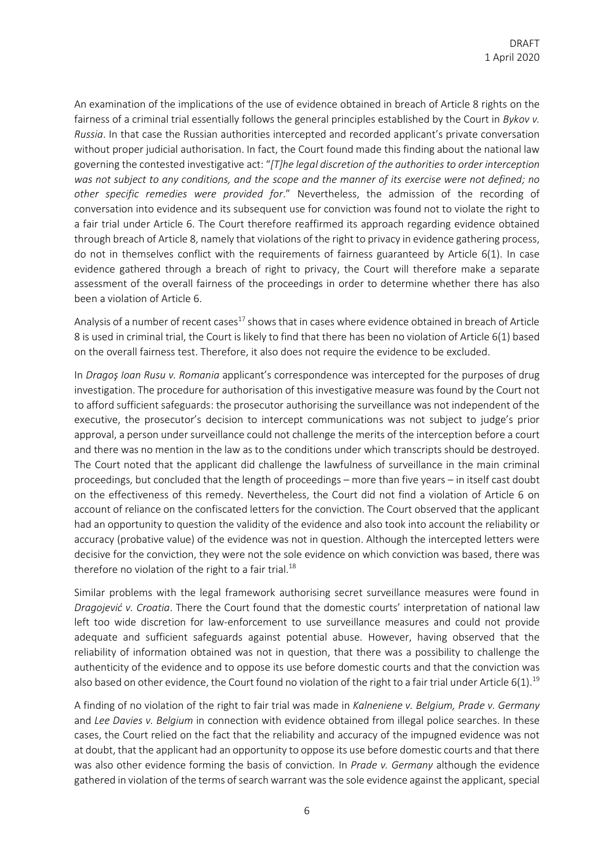An examination of the implications of the use of evidence obtained in breach of Article 8 rights on the fairness of a criminal trial essentially follows the general principles established by the Court in *Bykov v. Russia*. In that case the Russian authorities intercepted and recorded applicant's private conversation without proper judicial authorisation. In fact, the Court found made this finding about the national law governing the contested investigative act: "*[T]he legal discretion of the authorities to order interception was not subject to any conditions, and the scope and the manner of its exercise were not defined; no other specific remedies were provided for*." Nevertheless, the admission of the recording of conversation into evidence and its subsequent use for conviction was found not to violate the right to a fair trial under Article 6. The Court therefore reaffirmed its approach regarding evidence obtained through breach of Article 8, namely that violations of the right to privacy in evidence gathering process, do not in themselves conflict with the requirements of fairness guaranteed by Article 6(1). In case evidence gathered through a breach of right to privacy, the Court will therefore make a separate assessment of the overall fairness of the proceedings in order to determine whether there has also been a violation of Article 6.

Analysis of a number of recent cases<sup>17</sup> shows that in cases where evidence obtained in breach of Article 8 is used in criminal trial, the Court is likely to find that there has been no violation of Article 6(1) based on the overall fairness test. Therefore, it also does not require the evidence to be excluded.

In *Dragoş Ioan Rusu v. Romania* applicant's correspondence was intercepted for the purposes of drug investigation. The procedure for authorisation of this investigative measure was found by the Court not to afford sufficient safeguards: the prosecutor authorising the surveillance was not independent of the executive, the prosecutor's decision to intercept communications was not subject to judge's prior approval, a person under surveillance could not challenge the merits of the interception before a court and there was no mention in the law as to the conditions under which transcripts should be destroyed. The Court noted that the applicant did challenge the lawfulness of surveillance in the main criminal proceedings, but concluded that the length of proceedings – more than five years – in itself cast doubt on the effectiveness of this remedy. Nevertheless, the Court did not find a violation of Article 6 on account of reliance on the confiscated letters for the conviction. The Court observed that the applicant had an opportunity to question the validity of the evidence and also took into account the reliability or accuracy (probative value) of the evidence was not in question. Although the intercepted letters were decisive for the conviction, they were not the sole evidence on which conviction was based, there was therefore no violation of the right to a fair trial. $^{18}$ 

Similar problems with the legal framework authorising secret surveillance measures were found in *Dragojević v. Croatia*. There the Court found that the domestic courts' interpretation of national law left too wide discretion for law-enforcement to use surveillance measures and could not provide adequate and sufficient safeguards against potential abuse. However, having observed that the reliability of information obtained was not in question, that there was a possibility to challenge the authenticity of the evidence and to oppose its use before domestic courts and that the conviction was also based on other evidence, the Court found no violation of the right to a fair trial under Article 6(1).<sup>19</sup>

A finding of no violation of the right to fair trial was made in *Kalneniene v. Belgium, Prade v. Germany* and *Lee Davies v. Belgium* in connection with evidence obtained from illegal police searches. In these cases, the Court relied on the fact that the reliability and accuracy of the impugned evidence was not at doubt, that the applicant had an opportunity to oppose its use before domestic courts and that there was also other evidence forming the basis of conviction. In *Prade v. Germany* although the evidence gathered in violation of the terms of search warrant was the sole evidence against the applicant, special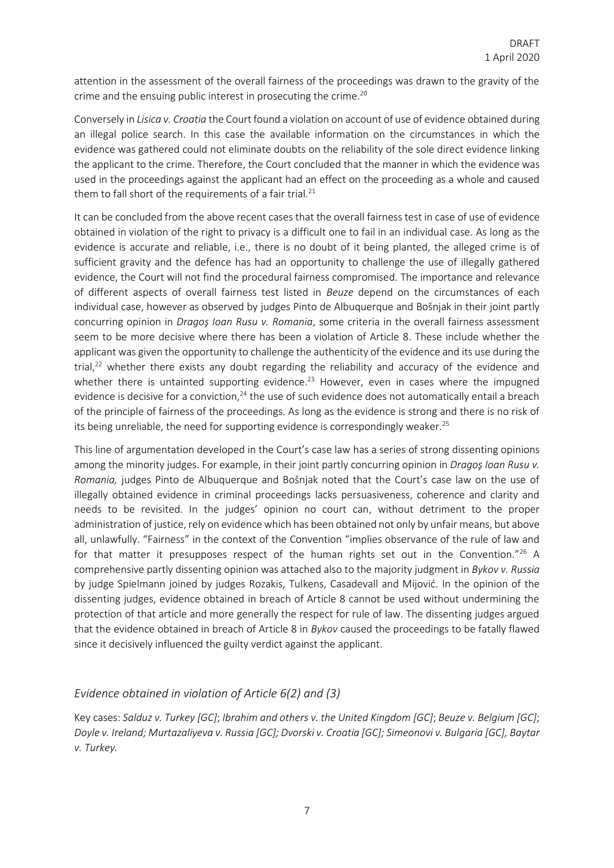attention in the assessment of the overall fairness of the proceedings was drawn to the gravity of the crime and the ensuing public interest in prosecuting the crime. $20$ 

Conversely in *Lisica v. Croatia* the Court found a violation on account of use of evidence obtained during an illegal police search. In this case the available information on the circumstances in which the evidence was gathered could not eliminate doubts on the reliability of the sole direct evidence linking the applicant to the crime. Therefore, the Court concluded that the manner in which the evidence was used in the proceedings against the applicant had an effect on the proceeding as a whole and caused them to fall short of the requirements of a fair trial.<sup>21</sup>

It can be concluded from the above recent cases that the overall fairness test in case of use of evidence obtained in violation of the right to privacy is a difficult one to fail in an individual case. As long as the evidence is accurate and reliable, i.e., there is no doubt of it being planted, the alleged crime is of sufficient gravity and the defence has had an opportunity to challenge the use of illegally gathered evidence, the Court will not find the procedural fairness compromised. The importance and relevance of different aspects of overall fairness test listed in *Beuze* depend on the circumstances of each individual case, however as observed by judges Pinto de Albuquerque and Bošnjak in their joint partly concurring opinion in *Dragoş Ioan Rusu v. Romania*, some criteria in the overall fairness assessment seem to be more decisive where there has been a violation of Article 8. These include whether the applicant was given the opportunity to challenge the authenticity of the evidence and its use during the trial,<sup>22</sup> whether there exists any doubt regarding the reliability and accuracy of the evidence and whether there is untainted supporting evidence.<sup>23</sup> However, even in cases where the impugned evidence is decisive for a conviction,<sup>24</sup> the use of such evidence does not automatically entail a breach of the principle of fairness of the proceedings. As long as the evidence is strong and there is no risk of its being unreliable, the need for supporting evidence is correspondingly weaker.<sup>25</sup>

This line of argumentation developed in the Court's case law has a series of strong dissenting opinions among the minority judges. For example, in their joint partly concurring opinion in *Dragoş Ioan Rusu v. Romania,* judges Pinto de Albuquerque and Bošnjak noted that the Court's case law on the use of illegally obtained evidence in criminal proceedings lacks persuasiveness, coherence and clarity and needs to be revisited. In the judges' opinion no court can, without detriment to the proper administration of justice, rely on evidence which has been obtained not only by unfair means, but above all, unlawfully. "Fairness" in the context of the Convention "implies observance of the rule of law and for that matter it presupposes respect of the human rights set out in the Convention."<sup>26</sup> A comprehensive partly dissenting opinion was attached also to the majority judgment in *Bykov v. Russia* by judge Spielmann joined by judges Rozakis, Tulkens, Casadevall and Mijović. In the opinion of the dissenting judges, evidence obtained in breach of Article 8 cannot be used without undermining the protection of that article and more generally the respect for rule of law. The dissenting judges argued that the evidence obtained in breach of Article 8 in *Bykov* caused the proceedings to be fatally flawed since it decisively influenced the guilty verdict against the applicant.

### *Evidence obtained in violation of Article 6(2) and (3)*

Key cases: *Salduz v. Turkey [GC]*; *Ibrahim and others v. the United Kingdom [GC]*; *Beuze v. Belgium [GC]*; *Doyle v. Ireland; Murtazaliyeva v. Russia [GC]; Dvorski v. Croatia [GC]; Simeonovi v. Bulgaria [GC], Baytar v. Turkey.*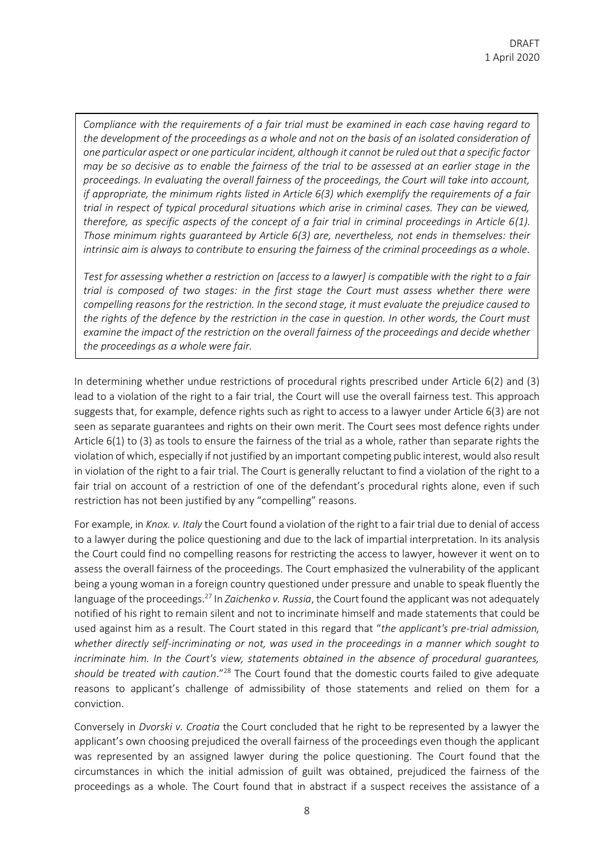*Compliance with the requirements of a fair trial must be examined in each case having regard to the development of the proceedings as a whole and not on the basis of an isolated consideration of one particular aspect or one particular incident, although it cannot be ruled out that a specific factor may be so decisive as to enable the fairness of the trial to be assessed at an earlier stage in the proceedings. In evaluating the overall fairness of the proceedings, the Court will take into account, if appropriate, the minimum rights listed in Article 6(3) which exemplify the requirements of a fair trial in respect of typical procedural situations which arise in criminal cases. They can be viewed, therefore, as specific aspects of the concept of a fair trial in criminal proceedings in Article 6(1). Those minimum rights guaranteed by Article 6(3) are, nevertheless, not ends in themselves: their intrinsic aim is always to contribute to ensuring the fairness of the criminal proceedings as a whole.*

*Test for assessing whether a restriction on [access to a lawyer] is compatible with the right to a fair trial is composed of two stages: in the first stage the Court must assess whether there were compelling reasons for the restriction. In the second stage, it must evaluate the prejudice caused to the rights of the defence by the restriction in the case in question. In other words, the Court must examine the impact of the restriction on the overall fairness of the proceedings and decide whether the proceedings as a whole were fair.*

In determining whether undue restrictions of procedural rights prescribed under Article 6(2) and (3) lead to a violation of the right to a fair trial, the Court will use the overall fairness test. This approach suggests that, for example, defence rights such as right to access to a lawyer under Article 6(3) are not seen as separate guarantees and rights on their own merit. The Court sees most defence rights under Article 6(1) to (3) as tools to ensure the fairness of the trial as a whole, rather than separate rights the violation of which, especially if not justified by an important competing public interest, would also result in violation of the right to a fair trial. The Court is generally reluctant to find a violation of the right to a fair trial on account of a restriction of one of the defendant's procedural rights alone, even if such restriction has not been justified by any "compelling" reasons.

For example, in *Knox. v. Italy* the Court found a violation of the right to a fair trial due to denial of access to a lawyer during the police questioning and due to the lack of impartial interpretation. In its analysis the Court could find no compelling reasons for restricting the access to lawyer, however it went on to assess the overall fairness of the proceedings. The Court emphasized the vulnerability of the applicant being a young woman in a foreign country questioned under pressure and unable to speak fluently the language of the proceedings.<sup>27</sup> In *Zaichenko v. Russia*, the Court found the applicant was not adequately notified of his right to remain silent and not to incriminate himself and made statements that could be used against him as a result. The Court stated in this regard that "*the applicant's pre-trial admission, whether directly self-incriminating or not, was used in the proceedings in a manner which sought to incriminate him. In the Court's view, statements obtained in the absence of procedural guarantees,*  should be treated with caution."<sup>28</sup> The Court found that the domestic courts failed to give adequate reasons to applicant's challenge of admissibility of those statements and relied on them for a conviction.

Conversely in *Dvorski v. Croatia* the Court concluded that he right to be represented by a lawyer the applicant's own choosing prejudiced the overall fairness of the proceedings even though the applicant was represented by an assigned lawyer during the police questioning. The Court found that the circumstances in which the initial admission of guilt was obtained, prejudiced the fairness of the proceedings as a whole. The Court found that in abstract if a suspect receives the assistance of a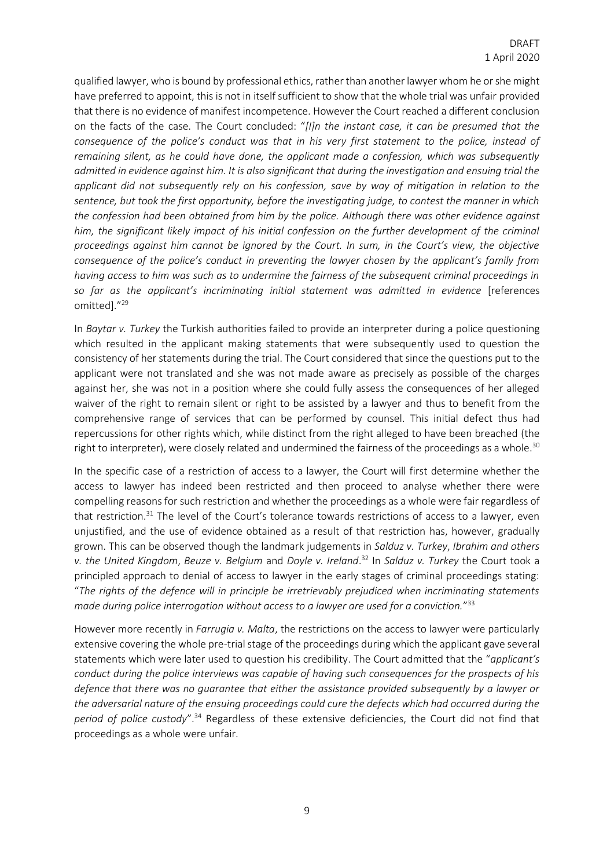qualified lawyer, who is bound by professional ethics, rather than another lawyer whom he or she might have preferred to appoint, this is not in itself sufficient to show that the whole trial was unfair provided that there is no evidence of manifest incompetence. However the Court reached a different conclusion on the facts of the case. The Court concluded: "*[I]n the instant case, it can be presumed that the consequence of the police's conduct was that in his very first statement to the police, instead of remaining silent, as he could have done, the applicant made a confession, which was subsequently admitted in evidence against him. It is also significant that during the investigation and ensuing trial the applicant did not subsequently rely on his confession, save by way of mitigation in relation to the sentence, but took the first opportunity, before the investigating judge, to contest the manner in which the confession had been obtained from him by the police. Although there was other evidence against*  him, the significant likely impact of his initial confession on the further development of the criminal *proceedings against him cannot be ignored by the Court. In sum, in the Court's view, the objective consequence of the police's conduct in preventing the lawyer chosen by the applicant's family from having access to him was such as to undermine the fairness of the subsequent criminal proceedings in so far as the applicant's incriminating initial statement was admitted in evidence* [references omitted]." 29

In *Baytar v. Turkey* the Turkish authorities failed to provide an interpreter during a police questioning which resulted in the applicant making statements that were subsequently used to question the consistency of her statements during the trial. The Court considered that since the questions put to the applicant were not translated and she was not made aware as precisely as possible of the charges against her, she was not in a position where she could fully assess the consequences of her alleged waiver of the right to remain silent or right to be assisted by a lawyer and thus to benefit from the comprehensive range of services that can be performed by counsel. This initial defect thus had repercussions for other rights which, while distinct from the right alleged to have been breached (the right to interpreter), were closely related and undermined the fairness of the proceedings as a whole.<sup>30</sup>

In the specific case of a restriction of access to a lawyer, the Court will first determine whether the access to lawyer has indeed been restricted and then proceed to analyse whether there were compelling reasons for such restriction and whether the proceedings as a whole were fair regardless of that restriction.<sup>31</sup> The level of the Court's tolerance towards restrictions of access to a lawyer, even unjustified, and the use of evidence obtained as a result of that restriction has, however, gradually grown. This can be observed though the landmark judgements in *Salduz v. Turkey*, *Ibrahim and others v. the United Kingdom*, *Beuze v. Belgium* and *Doyle v. Ireland*. <sup>32</sup> In *Salduz v. Turkey* the Court took a principled approach to denial of access to lawyer in the early stages of criminal proceedings stating: "*The rights of the defence will in principle be irretrievably prejudiced when incriminating statements made during police interrogation without access to a lawyer are used for a conviction.*" 33

However more recently in *Farrugia v. Malta*, the restrictions on the access to lawyer were particularly extensive covering the whole pre-trial stage of the proceedings during which the applicant gave several statements which were later used to question his credibility. The Court admitted that the "*applicant's conduct during the police interviews was capable of having such consequences for the prospects of his defence that there was no guarantee that either the assistance provided subsequently by a lawyer or the adversarial nature of the ensuing proceedings could cure the defects which had occurred during the period of police custody*".<sup>34</sup> Regardless of these extensive deficiencies, the Court did not find that proceedings as a whole were unfair.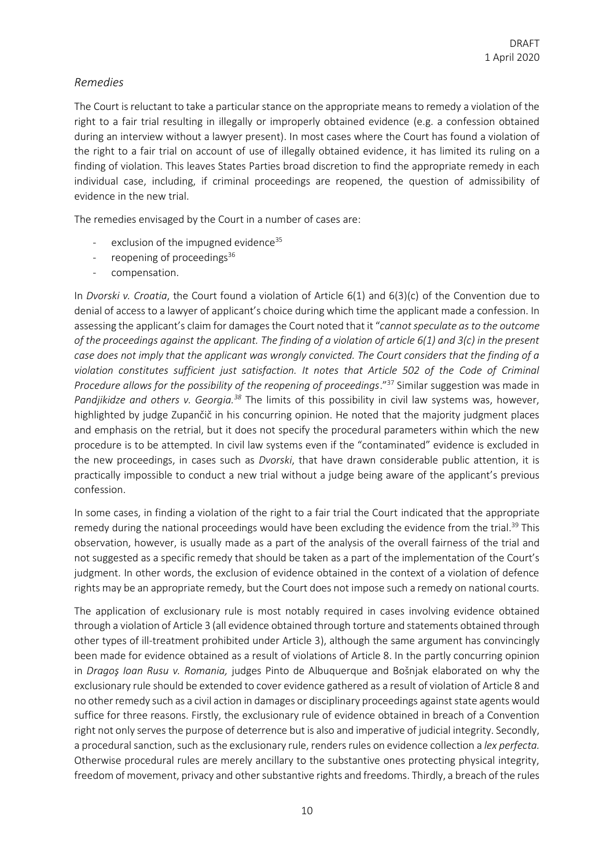## *Remedies*

The Court is reluctant to take a particular stance on the appropriate means to remedy a violation of the right to a fair trial resulting in illegally or improperly obtained evidence (e.g. a confession obtained during an interview without a lawyer present). In most cases where the Court has found a violation of the right to a fair trial on account of use of illegally obtained evidence, it has limited its ruling on a finding of violation. This leaves States Parties broad discretion to find the appropriate remedy in each individual case, including, if criminal proceedings are reopened, the question of admissibility of evidence in the new trial.

The remedies envisaged by the Court in a number of cases are:

- exclusion of the impugned evidence<sup>35</sup>
- reopening of proceedings $36$
- compensation.

In *Dvorski v. Croatia*, the Court found a violation of Article 6(1) and 6(3)(c) of the Convention due to denial of access to a lawyer of applicant's choice during which time the applicant made a confession. In assessing the applicant's claim for damages the Court noted that it "*cannot speculate as to the outcome of the proceedings against the applicant. The finding of a violation of article 6(1) and 3(c) in the present case does not imply that the applicant was wrongly convicted. The Court considers that the finding of a violation constitutes sufficient just satisfaction. It notes that Article 502 of the Code of Criminal Procedure allows for the possibility of the reopening of proceedings."*37 Similar suggestion was made in *Pandjikidze and others v. Georgia.<sup>38</sup>* The limits of this possibility in civil law systems was, however, highlighted by judge Zupančič in his concurring opinion. He noted that the majority judgment places and emphasis on the retrial, but it does not specify the procedural parameters within which the new procedure is to be attempted. In civil law systems even if the "contaminated" evidence is excluded in the new proceedings, in cases such as *Dvorski*, that have drawn considerable public attention, it is practically impossible to conduct a new trial without a judge being aware of the applicant's previous confession.

In some cases, in finding a violation of the right to a fair trial the Court indicated that the appropriate remedy during the national proceedings would have been excluding the evidence from the trial.<sup>39</sup> This observation, however, is usually made as a part of the analysis of the overall fairness of the trial and not suggested as a specific remedy that should be taken as a part of the implementation of the Court's judgment. In other words, the exclusion of evidence obtained in the context of a violation of defence rights may be an appropriate remedy, but the Court does not impose such a remedy on national courts.

The application of exclusionary rule is most notably required in cases involving evidence obtained through a violation of Article 3 (all evidence obtained through torture and statements obtained through other types of ill-treatment prohibited under Article 3), although the same argument has convincingly been made for evidence obtained as a result of violations of Article 8. In the partly concurring opinion in *Dragoş Ioan Rusu v. Romania,* judges Pinto de Albuquerque and Bošnjak elaborated on why the exclusionary rule should be extended to cover evidence gathered as a result of violation of Article 8 and no other remedy such as a civil action in damages or disciplinary proceedings against state agents would suffice for three reasons. Firstly, the exclusionary rule of evidence obtained in breach of a Convention right not only serves the purpose of deterrence but is also and imperative of judicial integrity. Secondly, a procedural sanction, such as the exclusionary rule, renders rules on evidence collection a *lex perfecta.*  Otherwise procedural rules are merely ancillary to the substantive ones protecting physical integrity, freedom of movement, privacy and other substantive rights and freedoms. Thirdly, a breach of the rules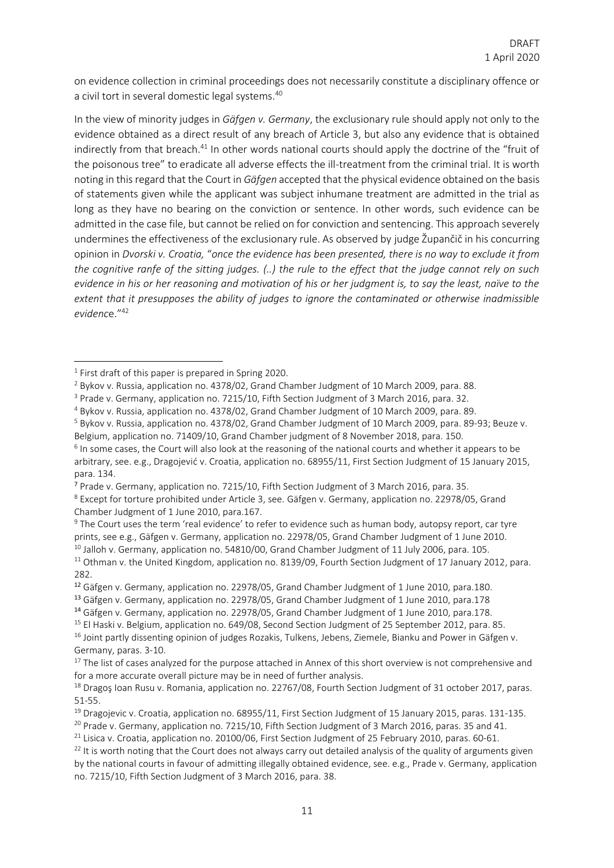on evidence collection in criminal proceedings does not necessarily constitute a disciplinary offence or a civil tort in several domestic legal systems.<sup>40</sup>

In the view of minority judges in *Gäfgen v. Germany*, the exclusionary rule should apply not only to the evidence obtained as a direct result of any breach of Article 3, but also any evidence that is obtained indirectly from that breach.<sup>41</sup> In other words national courts should apply the doctrine of the "fruit of the poisonous tree" to eradicate all adverse effects the ill-treatment from the criminal trial. It is worth noting in this regard that the Court in *Gäfgen* accepted that the physical evidence obtained on the basis of statements given while the applicant was subject inhumane treatment are admitted in the trial as long as they have no bearing on the conviction or sentence. In other words, such evidence can be admitted in the case file, but cannot be relied on for conviction and sentencing. This approach severely undermines the effectiveness of the exclusionary rule. As observed by judge Župančič in his concurring opinion in *Dvorski v. Croatia,* "*once the evidence has been presented, there is no way to exclude it from the cognitive ranfe of the sitting judges. (..) the rule to the effect that the judge cannot rely on such evidence in his or her reasoning and motivation of his or her judgment is, to say the least, naïve to the extent that it presupposes the ability of judges to ignore the contaminated or otherwise inadmissible evidenc*e."<sup>42</sup>

<sup>9</sup> The Court uses the term 'real evidence' to refer to evidence such as human body, autopsy report, car tyre prints, see e.g., Gäfgen v. Germany, application no. 22978/05, Grand Chamber Judgment of 1 June 2010.

<sup>&</sup>lt;sup>1</sup> First draft of this paper is prepared in Spring 2020.

<sup>2</sup> Bykov v. Russia, application no. 4378/02, Grand Chamber Judgment of 10 March 2009, para. 88.

<sup>&</sup>lt;sup>3</sup> Prade v. Germany, application no. 7215/10, Fifth Section Judgment of 3 March 2016, para. 32.

<sup>4</sup> Bykov v. Russia, application no. 4378/02, Grand Chamber Judgment of 10 March 2009, para. 89.

<sup>5</sup> Bykov v. Russia, application no. 4378/02, Grand Chamber Judgment of 10 March 2009, para. 89-93; Beuze v.

Belgium, application no. 71409/10, Grand Chamber judgment of 8 November 2018, para. 150. <sup>6</sup> In some cases, the Court will also look at the reasoning of the national courts and whether it appears to be arbitrary, see. e.g., Dragojević v. Croatia, application no. 68955/11, First Section Judgment of 15 January 2015, para. 134.

<sup>7</sup> Prade v. Germany, application no. 7215/10, Fifth Section Judgment of 3 March 2016, para. 35.

<sup>8</sup> Except for torture prohibited under Article 3, see. Gäfgen v. Germany, application no. 22978/05, Grand Chamber Judgment of 1 June 2010, para.167.

<sup>&</sup>lt;sup>10</sup> Jalloh v. Germany, application no. 54810/00, Grand Chamber Judgment of 11 July 2006, para. 105.

<sup>&</sup>lt;sup>11</sup> Othman v. the United Kingdom, application no. 8139/09, Fourth Section Judgment of 17 January 2012, para. 282.

<sup>12</sup> Gäfgen v. Germany, application no. 22978/05, Grand Chamber Judgment of 1 June 2010, para.180.

<sup>13</sup> Gäfgen v. Germany, application no. 22978/05, Grand Chamber Judgment of 1 June 2010, para.178

<sup>14</sup> Gäfgen v. Germany, application no. 22978/05, Grand Chamber Judgment of 1 June 2010, para.178.

<sup>&</sup>lt;sup>15</sup> El Haski v. Belgium, application no. 649/08, Second Section Judgment of 25 September 2012, para. 85. <sup>16</sup> Joint partly dissenting opinion of judges Rozakis, Tulkens, Jebens, Ziemele, Bianku and Power in Gäfgen v. Germany, paras. 3-10.

<sup>&</sup>lt;sup>17</sup> The list of cases analyzed for the purpose attached in Annex of this short overview is not comprehensive and for a more accurate overall picture may be in need of further analysis.

<sup>&</sup>lt;sup>18</sup> Dragos Ioan Rusu v. Romania, application no. 22767/08, Fourth Section Judgment of 31 october 2017, paras. 51-55.

<sup>&</sup>lt;sup>19</sup> Dragojevic v. Croatia, application no. 68955/11, First Section Judgment of 15 January 2015, paras. 131-135.

 $20$  Prade v. Germany, application no. 7215/10, Fifth Section Judgment of 3 March 2016, paras. 35 and 41.

<sup>&</sup>lt;sup>21</sup> Lisica v. Croatia, application no. 20100/06, First Section Judgment of 25 February 2010, paras. 60-61.

<sup>&</sup>lt;sup>22</sup> It is worth noting that the Court does not always carry out detailed analysis of the quality of arguments given by the national courts in favour of admitting illegally obtained evidence, see. e.g., Prade v. Germany, application no. 7215/10, Fifth Section Judgment of 3 March 2016, para. 38.